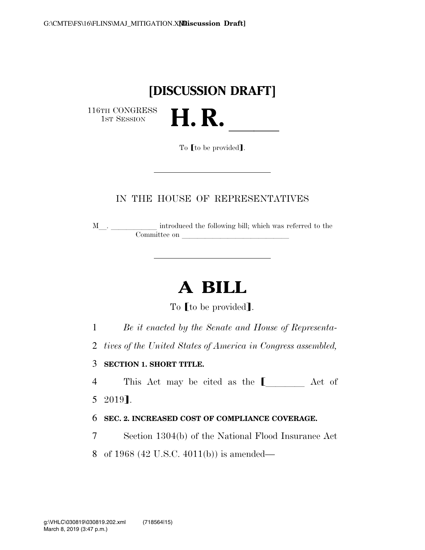## **[DISCUSSION DRAFT]**

H. R.

116TH CONGRESS<br>1st Session

To **[to be provided]**.

#### IN THE HOUSE OF REPRESENTATIVES

 $\texttt{M}\_\_\_\_\_\_\_\_\_\_\$  introduced the following bill; which was referred to the Committee on

# **A BILL**

To [to be provided].

1 *Be it enacted by the Senate and House of Representa-*

2 *tives of the United States of America in Congress assembled,* 

3 **SECTION 1. SHORT TITLE.** 

4 This Act may be cited as the  $\blacksquare$  Act of

5 2019¿.

#### 6 **SEC. 2. INCREASED COST OF COMPLIANCE COVERAGE.**

7 Section 1304(b) of the National Flood Insurance Act

8 of 1968 (42 U.S.C. 4011(b)) is amended—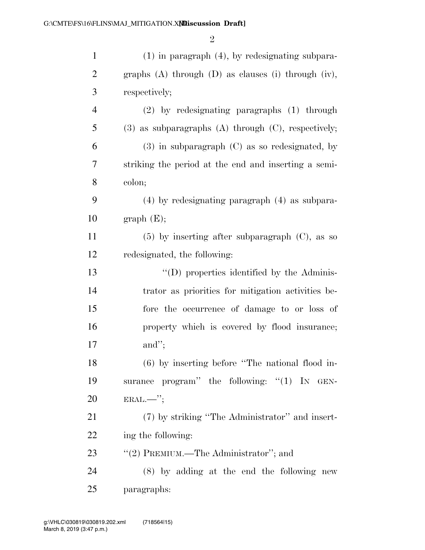| $\mathbf{1}$   | $(1)$ in paragraph $(4)$ , by redesignating subpara-         |
|----------------|--------------------------------------------------------------|
| $\overline{2}$ | graphs $(A)$ through $(D)$ as clauses $(i)$ through $(iv)$ , |
| 3              | respectively;                                                |
| $\overline{4}$ | $(2)$ by redesignating paragraphs $(1)$ through              |
| 5              | $(3)$ as subparagraphs $(A)$ through $(C)$ , respectively;   |
| 6              | $(3)$ in subparagraph $(C)$ as so redesignated, by           |
| 7              | striking the period at the end and inserting a semi-         |
| 8              | colon;                                                       |
| 9              | $(4)$ by redesignating paragraph $(4)$ as subpara-           |
| 10             | graph(E);                                                    |
| 11             | $(5)$ by inserting after subparagraph $(C)$ , as so          |
| 12             | redesignated, the following:                                 |
| 13             | "(D) properties identified by the Adminis-                   |
| 14             | trator as priorities for mitigation activities be-           |
| 15             | fore the occurrence of damage to or loss of                  |
| 16             | property which is covered by flood insurance;                |
| 17             | and";                                                        |
| 18             | $(6)$ by inserting before "The national flood in-            |
| 19             | surance program" the following: "(1) IN GEN-                 |
| <b>20</b>      |                                                              |
| 21             | (7) by striking "The Administrator" and insert-              |
| 22             | ing the following:                                           |
| 23             | "(2) PREMIUM.—The Administrator"; and                        |
| 24             | $(8)$ by adding at the end the following new                 |
| 25             | paragraphs:                                                  |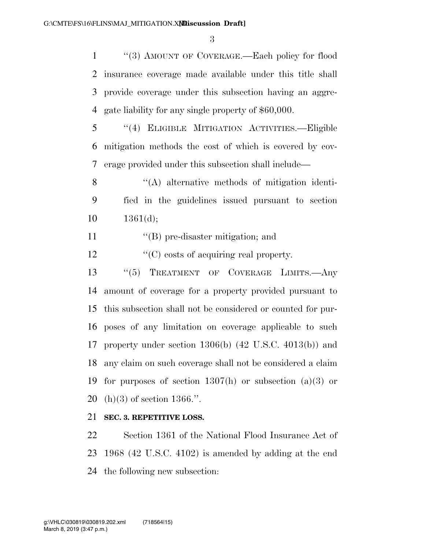''(3) AMOUNT OF COVERAGE.—Each policy for flood insurance coverage made available under this title shall provide coverage under this subsection having an aggre-gate liability for any single property of \$60,000.

 ''(4) ELIGIBLE MITIGATION ACTIVITIES.—Eligible mitigation methods the cost of which is covered by cov-erage provided under this subsection shall include—

 ''(A) alternative methods of mitigation identi- fied in the guidelines issued pursuant to section  $10 \qquad 1361(d);$ 

11  $\text{``(B)}$  pre-disaster mitigation; and

12  $\cdot$  (C) costs of acquiring real property.

 ''(5) TREATMENT OF COVERAGE LIMITS.—Any amount of coverage for a property provided pursuant to this subsection shall not be considered or counted for pur- poses of any limitation on coverage applicable to such property under section 1306(b) (42 U.S.C. 4013(b)) and any claim on such coverage shall not be considered a claim 19 for purposes of section  $1307(h)$  or subsection  $(a)(3)$  or (h)(3) of section 1366.''.

#### **SEC. 3. REPETITIVE LOSS.**

 Section 1361 of the National Flood Insurance Act of 1968 (42 U.S.C. 4102) is amended by adding at the end the following new subsection: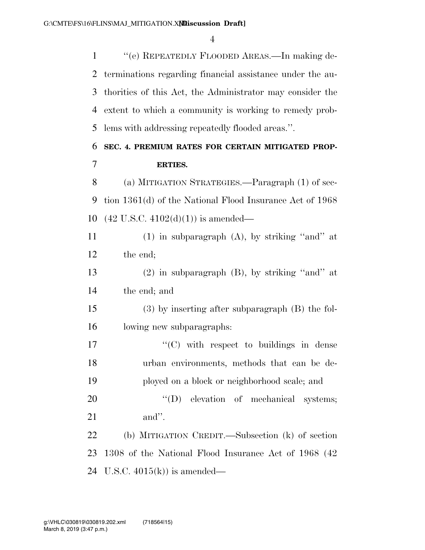''(e) REPEATEDLY FLOODED AREAS.—In making de- terminations regarding financial assistance under the au- thorities of this Act, the Administrator may consider the extent to which a community is working to remedy prob-lems with addressing repeatedly flooded areas.''.

### **SEC. 4. PREMIUM RATES FOR CERTAIN MITIGATED PROP-ERTIES.**

 (a) MITIGATION STRATEGIES.—Paragraph (1) of sec- tion 1361(d) of the National Flood Insurance Act of 1968 (42 U.S.C. 4102(d)(1)) is amended—

 (1) in subparagraph (A), by striking ''and'' at the end;

 (2) in subparagraph (B), by striking ''and'' at the end; and

 (3) by inserting after subparagraph (B) the fol-lowing new subparagraphs:

17  $\langle \text{C}(\text{C}) \rangle$  with respect to buildings in dense urban environments, methods that can be de-ployed on a block or neighborhood scale; and

20  $''(D)$  elevation of mechanical systems; and''.

 (b) MITIGATION CREDIT.—Subsection (k) of section 1308 of the National Flood Insurance Act of 1968 (42 U.S.C. 4015(k)) is amended—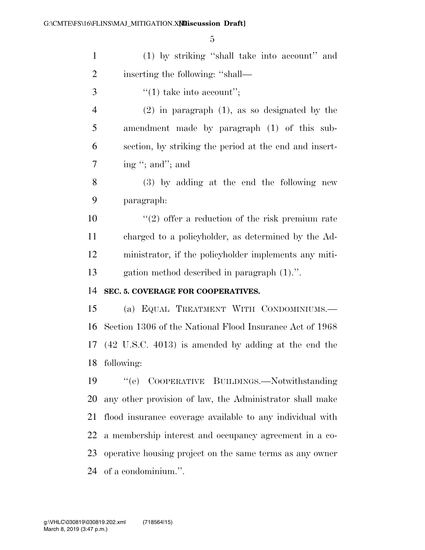| $\mathbf{1}$   | (1) by striking "shall take into account" and             |
|----------------|-----------------------------------------------------------|
| $\overline{2}$ | inserting the following: "shall—                          |
| 3              | "(1) take into account";                                  |
| $\overline{4}$ | $(2)$ in paragraph $(1)$ , as so designated by the        |
| 5              | amendment made by paragraph (1) of this sub-              |
| 6              | section, by striking the period at the end and insert-    |
| $\tau$         | ing "; and"; and                                          |
| 8              | (3) by adding at the end the following new                |
| 9              | paragraph:                                                |
| 10             | $(2)$ offer a reduction of the risk premium rate          |
| 11             | charged to a policyholder, as determined by the Ad-       |
| 12             | ministrator, if the policyholder implements any miti-     |
| 13             | gation method described in paragraph (1).".               |
| 14             | SEC. 5. COVERAGE FOR COOPERATIVES.                        |
| 15             | (a) EQUAL TREATMENT WITH CONDOMINIUMS.                    |
| 16             | Section 1306 of the National Flood Insurance Act of 1968  |
|                | 17 (42 U.S.C. 4013) is amended by adding at the end the   |
|                | 18 following:                                             |
| 19             | COOPERATIVE BUILDINGS.-Notwithstanding<br>``(e)           |
| 20             | any other provision of law, the Administrator shall make  |
| 21             | flood insurance coverage available to any individual with |
| 22             | a membership interest and occupancy agreement in a co-    |
| 23             | operative housing project on the same terms as any owner  |
| 24             | of a condominium.".                                       |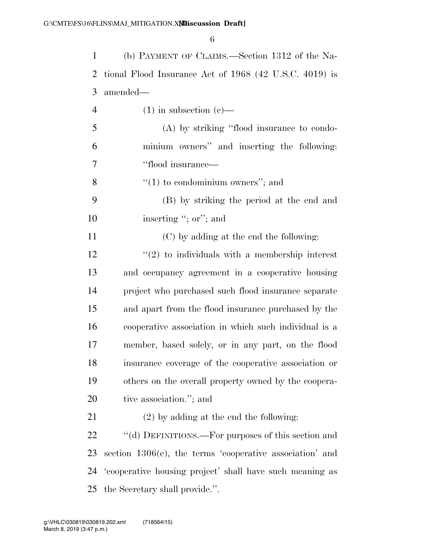| $\mathbf{1}$   | (b) PAYMENT OF CLAIMS.—Section 1312 of the Na-           |
|----------------|----------------------------------------------------------|
| $\overline{2}$ | tional Flood Insurance Act of $1968$ (42 U.S.C. 4019) is |
| 3              | amended—                                                 |
| $\overline{4}$ | $(1)$ in subsection $(e)$ —                              |
| 5              | (A) by striking "flood insurance to condo-               |
| 6              | minium owners" and inserting the following:              |
| 7              | "flood insurance—                                        |
| 8              | $\cdot\cdot(1)$ to condominium owners''; and             |
| 9              | (B) by striking the period at the end and                |
| 10             | inserting "; or"; and                                    |
| 11             | (C) by adding at the end the following:                  |
| 12             | $\lq(2)$ to individuals with a membership interest       |
| 13             | and occupancy agreement in a cooperative housing         |
| 14             | project who purchased such flood insurance separate      |
| 15             | and apart from the flood insurance purchased by the      |
| 16             | cooperative association in which such individual is a    |
| 17             | member, based solely, or in any part, on the flood       |
| 18             | insurance coverage of the cooperative association or     |
| 19             | others on the overall property owned by the coopera-     |
| 20             | tive association."; and                                  |
| 21             | $(2)$ by adding at the end the following:                |
| 22             | "(d) DEFINITIONS.—For purposes of this section and       |
| 23             | section 1306(e), the terms 'cooperative association' and |
| 24             | 'cooperative housing project' shall have such meaning as |
| 25             | the Secretary shall provide.".                           |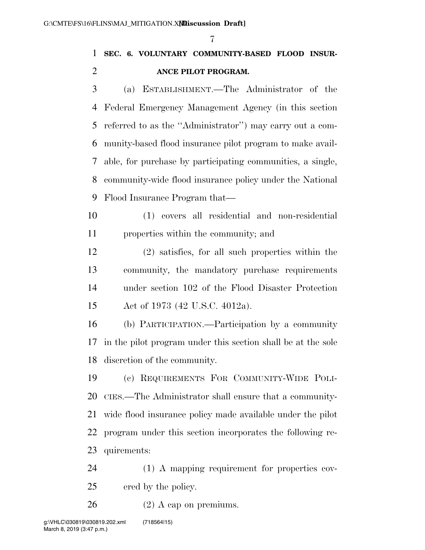### **SEC. 6. VOLUNTARY COMMUNITY-BASED FLOOD INSUR-ANCE PILOT PROGRAM.**

 (a) ESTABLISHMENT.—The Administrator of the Federal Emergency Management Agency (in this section referred to as the ''Administrator'') may carry out a com- munity-based flood insurance pilot program to make avail- able, for purchase by participating communities, a single, community-wide flood insurance policy under the National Flood Insurance Program that—

 (1) covers all residential and non-residential properties within the community; and

 (2) satisfies, for all such properties within the community, the mandatory purchase requirements under section 102 of the Flood Disaster Protection Act of 1973 (42 U.S.C. 4012a).

 (b) PARTICIPATION.—Participation by a community in the pilot program under this section shall be at the sole discretion of the community.

 (c) REQUIREMENTS FOR COMMUNITY-WIDE POLI- CIES.—The Administrator shall ensure that a community- wide flood insurance policy made available under the pilot program under this section incorporates the following re-quirements:

 (1) A mapping requirement for properties cov-ered by the policy.

 $26 \t(2)$  A cap on premiums.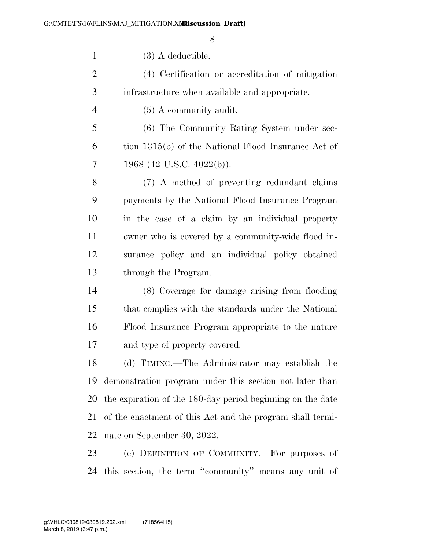| $\mathbf{1}$   | $(3)$ A deductible.                                        |
|----------------|------------------------------------------------------------|
| $\overline{2}$ | (4) Certification or accreditation of mitigation           |
| 3              | infrastructure when available and appropriate.             |
| $\overline{4}$ | $(5)$ A community audit.                                   |
| 5              | (6) The Community Rating System under sec-                 |
| 6              | tion 1315(b) of the National Flood Insurance Act of        |
| 7              | 1968 (42 U.S.C. 4022(b)).                                  |
| 8              | (7) A method of preventing redundant claims                |
| 9              | payments by the National Flood Insurance Program           |
| 10             | in the case of a claim by an individual property           |
| 11             | owner who is covered by a community-wide flood in-         |
| 12             | surance policy and an individual policy obtained           |
| 13             | through the Program.                                       |
| 14             | (8) Coverage for damage arising from flooding              |
| 15             | that complies with the standards under the National        |
| 16             | Flood Insurance Program appropriate to the nature          |
| 17             | and type of property covered.                              |
| 18             | (d) TIMING.—The Administrator may establish the            |
| 19             | demonstration program under this section not later than    |
| 20             | the expiration of the 180-day period beginning on the date |
| 21             | of the enactment of this Act and the program shall termi-  |
| 22             | nate on September 30, 2022.                                |
| 23             | (e) DEFINITION OF COMMUNITY.—For purposes of               |
| 24             | this section, the term "community" means any unit of       |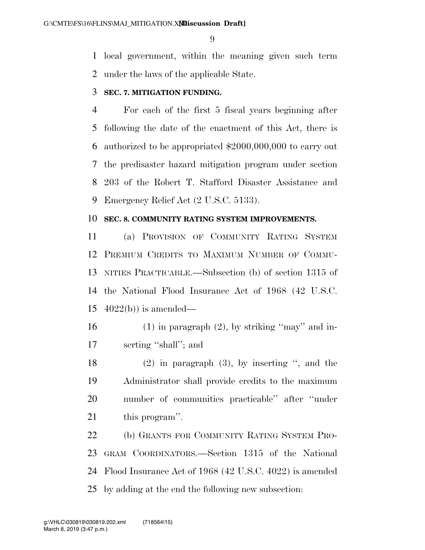local government, within the meaning given such term under the laws of the applicable State.

#### **SEC. 7. MITIGATION FUNDING.**

 For each of the first 5 fiscal years beginning after following the date of the enactment of this Act, there is authorized to be appropriated \$2000,000,000 to carry out the predisaster hazard mitigation program under section 203 of the Robert T. Stafford Disaster Assistance and Emergency Relief Act (2 U.S.C. 5133).

#### **SEC. 8. COMMUNITY RATING SYSTEM IMPROVEMENTS.**

 (a) PROVISION OF COMMUNITY RATING SYSTEM PREMIUM CREDITS TO MAXIMUM NUMBER OF COMMU- NITIES PRACTICABLE.—Subsection (b) of section 1315 of the National Flood Insurance Act of 1968 (42 U.S.C.  $4022(b)$  is amended—

- 16 (1) in paragraph  $(2)$ , by striking "may" and in-serting ''shall''; and
- (2) in paragraph (3), by inserting '', and the Administrator shall provide credits to the maximum number of communities practicable'' after ''under this program''.

 (b) GRANTS FOR COMMUNITY RATING SYSTEM PRO- GRAM COORDINATORS.—Section 1315 of the National Flood Insurance Act of 1968 (42 U.S.C. 4022) is amended by adding at the end the following new subsection: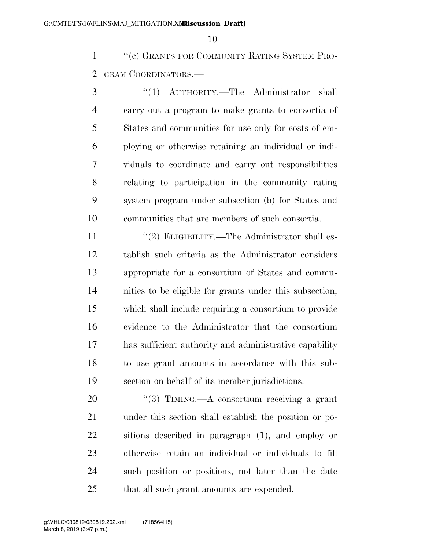''(c) GRANTS FOR COMMUNITY RATING SYSTEM PRO-GRAM COORDINATORS.—

 ''(1) AUTHORITY.—The Administrator shall carry out a program to make grants to consortia of States and communities for use only for costs of em- ploying or otherwise retaining an individual or indi- viduals to coordinate and carry out responsibilities relating to participation in the community rating system program under subsection (b) for States and communities that are members of such consortia.

11 ''(2) ELIGIBILITY.—The Administrator shall es- tablish such criteria as the Administrator considers appropriate for a consortium of States and commu- nities to be eligible for grants under this subsection, which shall include requiring a consortium to provide evidence to the Administrator that the consortium has sufficient authority and administrative capability to use grant amounts in accordance with this sub-section on behalf of its member jurisdictions.

20 "(3) TIMING.—A consortium receiving a grant under this section shall establish the position or po- sitions described in paragraph (1), and employ or otherwise retain an individual or individuals to fill such position or positions, not later than the date 25 that all such grant amounts are expended.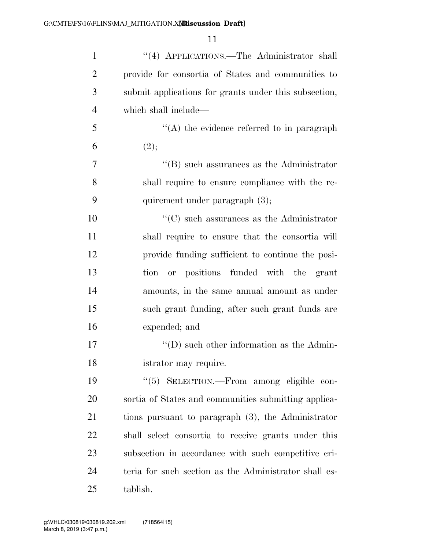| $\mathbf{1}$   | "(4) APPLICATIONS.—The Administrator shall            |
|----------------|-------------------------------------------------------|
| $\overline{2}$ | provide for consortia of States and communities to    |
| 3              | submit applications for grants under this subsection, |
| $\overline{4}$ | which shall include—                                  |
| 5              | $\lq\lq$ the evidence referred to in paragraph        |
| 6              | (2);                                                  |
| 7              | $\lq\lq$ such assurances as the Administrator         |
| 8              | shall require to ensure compliance with the re-       |
| 9              | quirement under paragraph $(3)$ ;                     |
| 10             | $\lq\lq$ such assurances as the Administrator         |
| 11             | shall require to ensure that the consortia will       |
| 12             | provide funding sufficient to continue the posi-      |
| 13             | or positions funded with the grant<br>tion            |
| 14             | amounts, in the same annual amount as under           |
| 15             | such grant funding, after such grant funds are        |
| 16             | expended; and                                         |
| 17             | $\lq\lq$ ) such other information as the Admin-       |
| 18             | istrator may require.                                 |
| 19             | "(5) SELECTION.—From among eligible con-              |
| 20             | sortia of States and communities submitting applica-  |
| 21             | tions pursuant to paragraph (3), the Administrator    |
| 22             | shall select consortia to receive grants under this   |
| 23             | subsection in accordance with such competitive cri-   |
| 24             | teria for such section as the Administrator shall es- |
| 25             | tablish.                                              |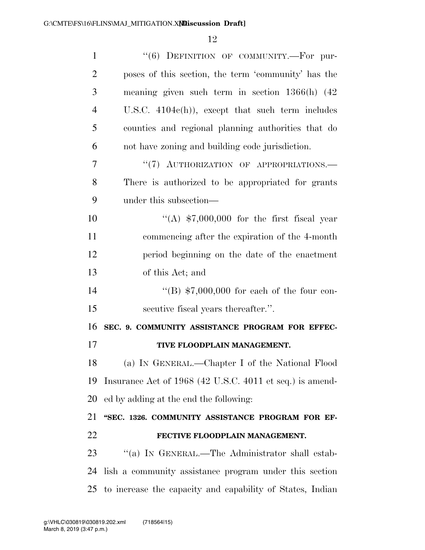| $\mathbf{1}$   | "(6) DEFINITION OF COMMUNITY.-For pur-                    |
|----------------|-----------------------------------------------------------|
| $\overline{2}$ | poses of this section, the term 'community' has the       |
| 3              | meaning given such term in section $1366(h)$ (42)         |
| $\overline{4}$ | U.S.C. $4104c(h)$ , except that such term includes        |
| 5              | counties and regional planning authorities that do        |
| 6              | not have zoning and building code jurisdiction.           |
| 7              | "(7) AUTHORIZATION OF APPROPRIATIONS.-                    |
| 8              | There is authorized to be appropriated for grants         |
| 9              | under this subsection—                                    |
| 10             | "(A) $$7,000,000$ for the first fiscal year               |
| 11             | commencing after the expiration of the 4-month            |
| 12             | period beginning on the date of the enactment             |
| 13             | of this Act; and                                          |
| 14             | "(B) $$7,000,000$ for each of the four con-               |
| 15             | secutive fiscal years thereafter.".                       |
| 16             | SEC. 9. COMMUNITY ASSISTANCE PROGRAM FOR EFFEC-           |
| 17             | TIVE FLOODPLAIN MANAGEMENT.                               |
| 18             | (a) IN GENERAL.—Chapter I of the National Flood           |
| 19             | Insurance Act of 1968 (42 U.S.C. 4011 et seq.) is amend-  |
| 20             | ed by adding at the end the following:                    |
| 21             | "SEC. 1326. COMMUNITY ASSISTANCE PROGRAM FOR EF-          |
| 22             | FECTIVE FLOODPLAIN MANAGEMENT.                            |
| 23             | "(a) IN GENERAL.—The Administrator shall estab-           |
| 24             | lish a community assistance program under this section    |
| 25             | to increase the capacity and capability of States, Indian |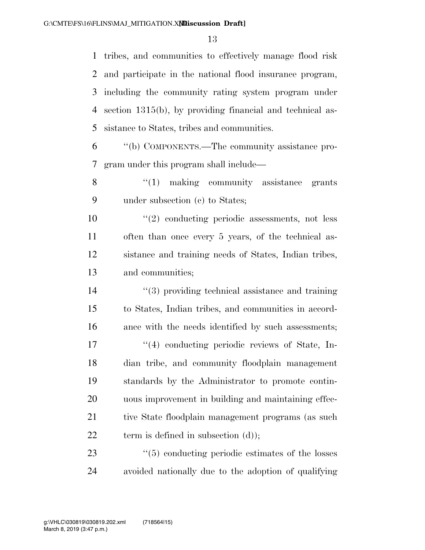tribes, and communities to effectively manage flood risk and participate in the national flood insurance program, including the community rating system program under section 1315(b), by providing financial and technical as-sistance to States, tribes and communities.

 ''(b) COMPONENTS.—The community assistance pro-gram under this program shall include—

8 "(1) making community assistance grants under subsection (c) to States;

 ''(2) conducting periodic assessments, not less often than once every 5 years, of the technical as- sistance and training needs of States, Indian tribes, and communities;

 ''(3) providing technical assistance and training to States, Indian tribes, and communities in accord- ance with the needs identified by such assessments;  $\frac{1}{4}$  conducting periodic reviews of State, In- dian tribe, and community floodplain management standards by the Administrator to promote contin- uous improvement in building and maintaining effec-21 tive State floodplain management programs (as such 22 term is defined in subsection (d));

23 ''(5) conducting periodic estimates of the losses avoided nationally due to the adoption of qualifying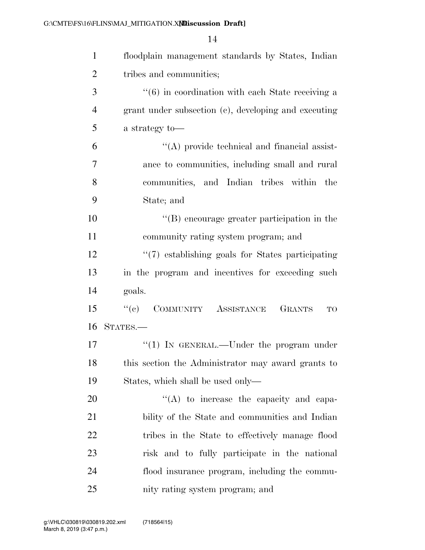| $\mathbf{1}$   | floodplain management standards by States, Indian            |
|----------------|--------------------------------------------------------------|
| $\overline{2}$ | tribes and communities;                                      |
| 3              | $\cdot\cdot$ (6) in coordination with each State receiving a |
| $\overline{4}$ | grant under subsection (c), developing and executing         |
| 5              | a strategy to-                                               |
| 6              | $\lq\lq$ provide technical and financial assist-             |
| $\overline{7}$ | ance to communities, including small and rural               |
| 8              | communities, and Indian tribes within the                    |
| 9              | State; and                                                   |
| 10             | "(B) encourage greater participation in the                  |
| 11             | community rating system program; and                         |
| 12             | $\lq(7)$ establishing goals for States participating         |
| 13             | in the program and incentives for exceeding such             |
| 14             | goals.                                                       |
| 15             | ``(e)<br>COMMUNITY ASSISTANCE<br><b>GRANTS</b><br>TO         |
| 16             | STATES.-                                                     |
| 17             | " $(1)$ IN GENERAL.—Under the program under                  |
| 18             | this section the Administrator may award grants to           |
| 19             | States, which shall be used only—                            |
| 20             | "(A) to increase the capacity and capa-                      |
| 21             | bility of the State and communities and Indian               |
| 22             | tribes in the State to effectively manage flood              |
| 23             | risk and to fully participate in the national                |
| 24             | flood insurance program, including the commu-                |
| 25             | nity rating system program; and                              |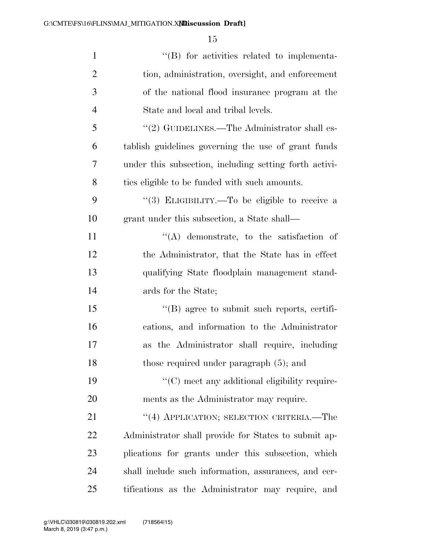| $\mathbf{1}$   | "(B) for activities related to implementa-             |
|----------------|--------------------------------------------------------|
| $\overline{2}$ | tion, administration, oversight, and enforcement       |
| 3              | of the national flood insurance program at the         |
| $\overline{4}$ | State and local and tribal levels.                     |
| 5              | " $(2)$ GUIDELINES.—The Administrator shall es-        |
| 6              | tablish guidelines governing the use of grant funds    |
| 7              | under this subsection, including setting forth activi- |
| 8              | ties eligible to be funded with such amounts.          |
| 9              | "(3) ELIGIBILITY.—To be eligible to receive a          |
| 10             | grant under this subsection, a State shall—            |
| 11             | $\lq\lq$ demonstrate, to the satisfaction of           |
| 12             | the Administrator, that the State has in effect        |
| 13             | qualifying State floodplain management stand-          |
| 14             | ards for the State;                                    |
| 15             | $\lq\lq$ agree to submit such reports, certifi-        |
| 16             | cations, and information to the Administrator          |
| 17             | the Administrator shall require, including<br>as       |
| 18             | those required under paragraph $(5)$ ; and             |
| 19             | "(C) meet any additional eligibility require-          |
| 20             | ments as the Administrator may require.                |
| 21             | "(4) APPLICATION; SELECTION CRITERIA.—The              |
| 22             | Administrator shall provide for States to submit ap-   |
| 23             | plications for grants under this subsection, which     |
| 24             | shall include such information, assurances, and cer-   |
| 25             | tifications as the Administrator may require, and      |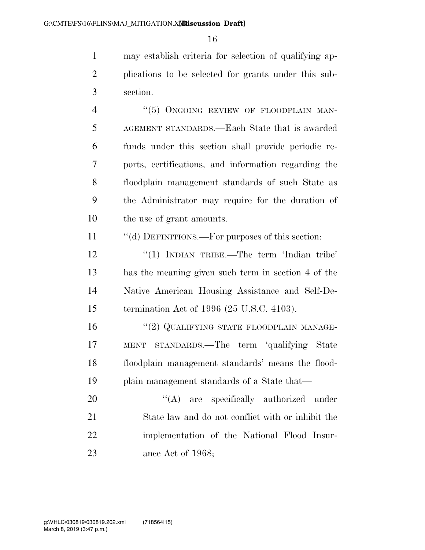may establish criteria for selection of qualifying ap- plications to be selected for grants under this sub-section.

4 "(5) ONGOING REVIEW OF FLOODPLAIN MAN- AGEMENT STANDARDS.—Each State that is awarded funds under this section shall provide periodic re- ports, certifications, and information regarding the floodplain management standards of such State as the Administrator may require for the duration of the use of grant amounts.

11 ""(d) DEFINITIONS.—For purposes of this section:

12 "(1) INDIAN TRIBE.—The term 'Indian tribe' has the meaning given such term in section 4 of the Native American Housing Assistance and Self-De-termination Act of 1996 (25 U.S.C. 4103).

16 "(2) QUALIFYING STATE FLOODPLAIN MANAGE- MENT STANDARDS.—The term 'qualifying State floodplain management standards' means the flood-plain management standards of a State that—

20 "(A) are specifically authorized under State law and do not conflict with or inhibit the implementation of the National Flood Insur-23 ance Act of 1968;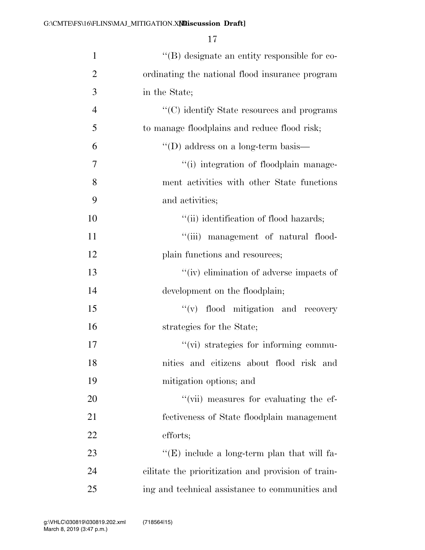| $\mathbf{1}$   | $\lq\lq$ designate an entity responsible for co-    |
|----------------|-----------------------------------------------------|
| $\overline{2}$ | ordinating the national flood insurance program     |
| 3              | in the State;                                       |
| $\overline{4}$ | "(C) identify State resources and programs          |
| 5              | to manage floodplains and reduce flood risk;        |
| 6              | $\lq\lq$ (D) address on a long-term basis—          |
| $\overline{7}$ | "(i) integration of floodplain manage-              |
| 8              | ment activities with other State functions          |
| 9              | and activities;                                     |
| 10             | "(ii) identification of flood hazards;              |
| 11             | "(iii) management of natural flood-                 |
| 12             | plain functions and resources;                      |
| 13             | "(iv) elimination of adverse impacts of             |
| 14             | development on the floodplain;                      |
| 15             | "(v) flood mitigation and recovery                  |
| 16             | strategies for the State;                           |
| 17             | "(vi) strategies for informing commu-               |
| 18             | nities and citizens about flood risk and            |
| 19             | mitigation options; and                             |
| 20             | "(vii) measures for evaluating the ef-              |
| 21             | fectiveness of State floodplain management          |
| 22             | efforts;                                            |
| 23             | " $(E)$ include a long-term plan that will fa-      |
| 24             | cilitate the prioritization and provision of train- |
| 25             | ing and technical assistance to communities and     |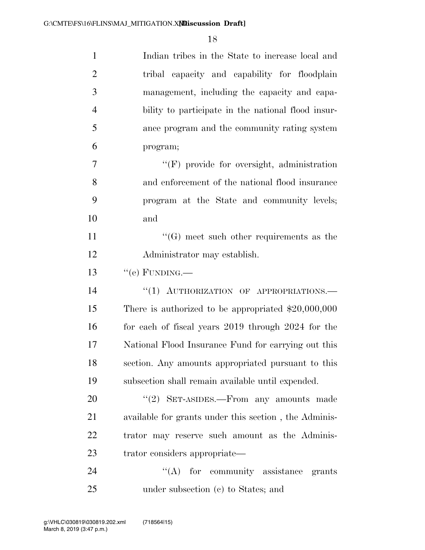| $\mathbf{1}$   | Indian tribes in the State to increase local and      |
|----------------|-------------------------------------------------------|
| $\overline{2}$ | tribal capacity and capability for floodplain         |
| 3              | management, including the capacity and capa-          |
| $\overline{4}$ | bility to participate in the national flood insur-    |
| 5              | ance program and the community rating system          |
| 6              | program;                                              |
| 7              | "(F) provide for oversight, administration            |
| 8              | and enforcement of the national flood insurance       |
| 9              | program at the State and community levels;            |
| 10             | and                                                   |
| 11             | $\lq\lq(G)$ meet such other requirements as the       |
| 12             | Administrator may establish.                          |
| 13             | $``$ (e) FUNDING.—                                    |
| 14             | "(1) AUTHORIZATION OF APPROPRIATIONS.-                |
| 15             | There is authorized to be appropriated $$20,000,000$  |
| 16             | for each of fiscal years 2019 through 2024 for the    |
| 17             | National Flood Insurance Fund for carrying out this   |
| 18             | section. Any amounts appropriated pursuant to this    |
| 19             | subsection shall remain available until expended.     |
| 20             |                                                       |
|                | $\cdot\cdot(2)$ SET-ASIDES.—From any amounts made     |
| 21             | available for grants under this section, the Adminis- |
| 22             | trator may reserve such amount as the Adminis-        |
| 23             | trator considers appropriate—                         |
| 24             | $\lq\lq$ for community assistance grants              |